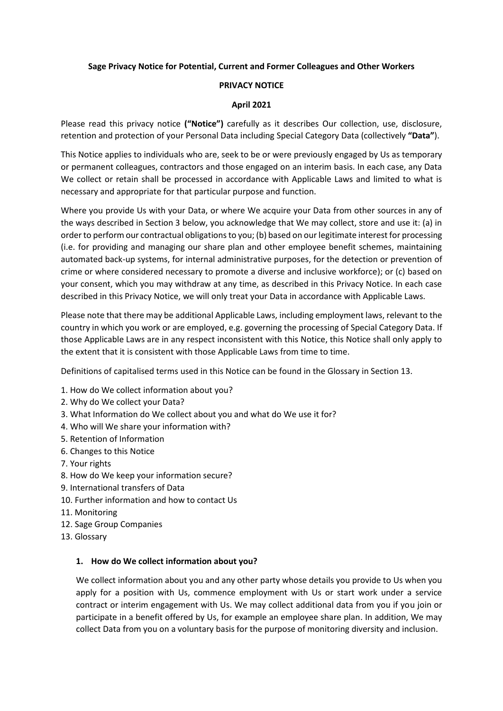## **Sage Privacy Notice for Potential, Current and Former Colleagues and Other Workers**

### **PRIVACY NOTICE**

### **April 2021**

Please read this privacy notice **("Notice")** carefully as it describes Our collection, use, disclosure, retention and protection of your Personal Data including Special Category Data (collectively **"Data"**).

This Notice applies to individuals who are, seek to be or were previously engaged by Us as temporary or permanent colleagues, contractors and those engaged on an interim basis. In each case, any Data We collect or retain shall be processed in accordance with Applicable Laws and limited to what is necessary and appropriate for that particular purpose and function.

Where you provide Us with your Data, or where We acquire your Data from other sources in any of the ways described in Section 3 below, you acknowledge that We may collect, store and use it: (a) in order to perform our contractual obligations to you; (b) based on our legitimate interest for processing (i.e. for providing and managing our share plan and other employee benefit schemes, maintaining automated back-up systems, for internal administrative purposes, for the detection or prevention of crime or where considered necessary to promote a diverse and inclusive workforce); or (c) based on your consent, which you may withdraw at any time, as described in this Privacy Notice. In each case described in this Privacy Notice, we will only treat your Data in accordance with Applicable Laws.

Please note that there may be additional Applicable Laws, including employment laws, relevant to the country in which you work or are employed, e.g. governing the processing of Special Category Data. If those Applicable Laws are in any respect inconsistent with this Notice, this Notice shall only apply to the extent that it is consistent with those Applicable Laws from time to time.

Definitions of capitalised terms used in this Notice can be found in the Glossary in Section 13.

- 1. How do We collect information about you?
- 2. Why do We collect your Data?
- 3. What Information do We collect about you and what do We use it for?
- 4. Who will We share your information with?
- 5. Retention of Information
- 6. Changes to this Notice
- 7. Your rights
- 8. How do We keep your information secure?
- 9. International transfers of Data
- 10. Further information and how to contact Us
- 11. Monitoring
- 12. Sage Group Companies
- 13. Glossary

### **1. How do We collect information about you?**

We collect information about you and any other party whose details you provide to Us when you apply for a position with Us, commence employment with Us or start work under a service contract or interim engagement with Us. We may collect additional data from you if you join or participate in a benefit offered by Us, for example an employee share plan. In addition, We may collect Data from you on a voluntary basis for the purpose of monitoring diversity and inclusion.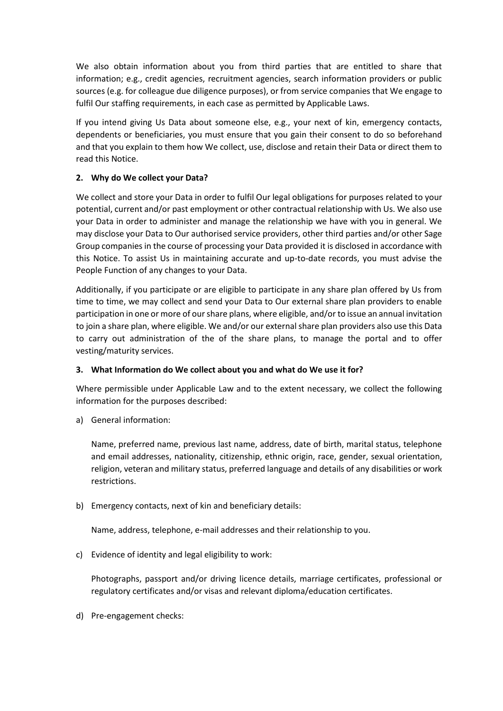We also obtain information about you from third parties that are entitled to share that information; e.g., credit agencies, recruitment agencies, search information providers or public sources (e.g. for colleague due diligence purposes), or from service companies that We engage to fulfil Our staffing requirements, in each case as permitted by Applicable Laws.

If you intend giving Us Data about someone else, e.g., your next of kin, emergency contacts, dependents or beneficiaries, you must ensure that you gain their consent to do so beforehand and that you explain to them how We collect, use, disclose and retain their Data or direct them to read this Notice.

# **2. Why do We collect your Data?**

We collect and store your Data in order to fulfil Our legal obligations for purposes related to your potential, current and/or past employment or other contractual relationship with Us. We also use your Data in order to administer and manage the relationship we have with you in general. We may disclose your Data to Our authorised service providers, other third parties and/or other Sage Group companies in the course of processing your Data provided it is disclosed in accordance with this Notice. To assist Us in maintaining accurate and up-to-date records, you must advise the People Function of any changes to your Data.

Additionally, if you participate or are eligible to participate in any share plan offered by Us from time to time, we may collect and send your Data to Our external share plan providers to enable participation in one or more of our share plans, where eligible, and/or to issue an annual invitation to join a share plan, where eligible. We and/or our external share plan providers also use this Data to carry out administration of the of the share plans, to manage the portal and to offer vesting/maturity services.

## **3. What Information do We collect about you and what do We use it for?**

Where permissible under Applicable Law and to the extent necessary, we collect the following information for the purposes described:

a) General information:

Name, preferred name, previous last name, address, date of birth, marital status, telephone and email addresses, nationality, citizenship, ethnic origin, race, gender, sexual orientation, religion, veteran and military status, preferred language and details of any disabilities or work restrictions.

b) Emergency contacts, next of kin and beneficiary details:

Name, address, telephone, e-mail addresses and their relationship to you.

c) Evidence of identity and legal eligibility to work:

Photographs, passport and/or driving licence details, marriage certificates, professional or regulatory certificates and/or visas and relevant diploma/education certificates.

d) Pre-engagement checks: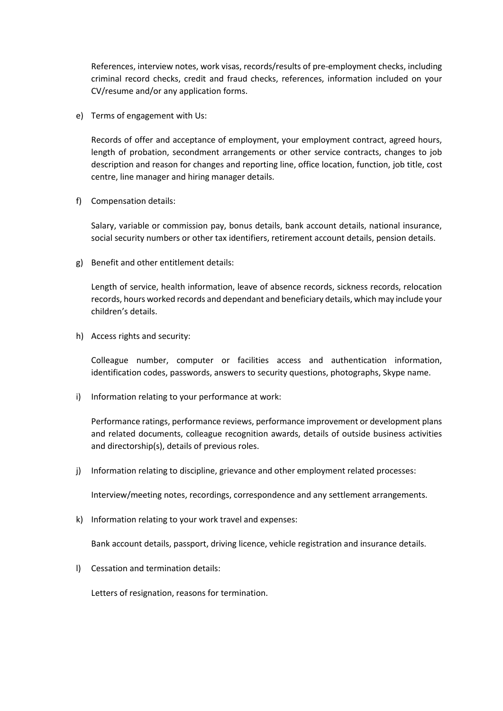References, interview notes, work visas, records/results of pre-employment checks, including criminal record checks, credit and fraud checks, references, information included on your CV/resume and/or any application forms.

e) Terms of engagement with Us:

Records of offer and acceptance of employment, your employment contract, agreed hours, length of probation, secondment arrangements or other service contracts, changes to job description and reason for changes and reporting line, office location, function, job title, cost centre, line manager and hiring manager details.

f) Compensation details:

Salary, variable or commission pay, bonus details, bank account details, national insurance, social security numbers or other tax identifiers, retirement account details, pension details.

g) Benefit and other entitlement details:

Length of service, health information, leave of absence records, sickness records, relocation records, hours worked records and dependant and beneficiary details, which may include your children's details.

h) Access rights and security:

Colleague number, computer or facilities access and authentication information, identification codes, passwords, answers to security questions, photographs, Skype name.

i) Information relating to your performance at work:

Performance ratings, performance reviews, performance improvement or development plans and related documents, colleague recognition awards, details of outside business activities and directorship(s), details of previous roles.

j) Information relating to discipline, grievance and other employment related processes:

Interview/meeting notes, recordings, correspondence and any settlement arrangements.

k) Information relating to your work travel and expenses:

Bank account details, passport, driving licence, vehicle registration and insurance details.

l) Cessation and termination details:

Letters of resignation, reasons for termination.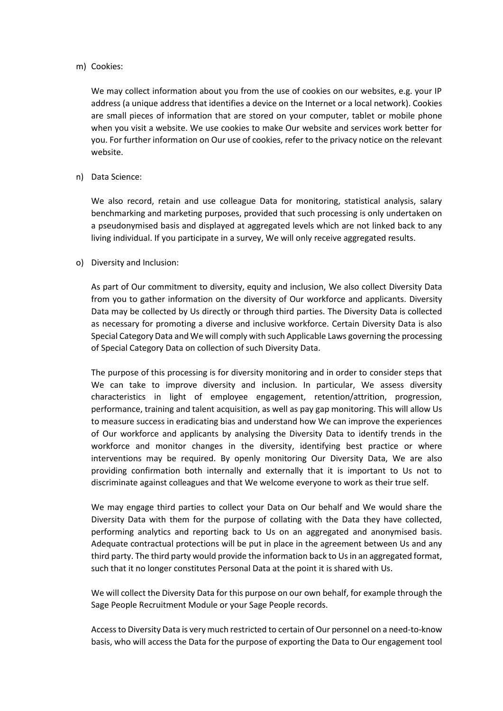#### m) Cookies:

We may collect information about you from the use of cookies on our websites, e.g. your IP address (a unique address that identifies a device on the Internet or a local network). Cookies are small pieces of information that are stored on your computer, tablet or mobile phone when you visit a website. We use cookies to make Our website and services work better for you. For further information on Our use of cookies, refer to the privacy notice on the relevant website.

### n) Data Science:

We also record, retain and use colleague Data for monitoring, statistical analysis, salary benchmarking and marketing purposes, provided that such processing is only undertaken on a pseudonymised basis and displayed at aggregated levels which are not linked back to any living individual. If you participate in a survey, We will only receive aggregated results.

### o) Diversity and Inclusion:

As part of Our commitment to diversity, equity and inclusion, We also collect Diversity Data from you to gather information on the diversity of Our workforce and applicants. Diversity Data may be collected by Us directly or through third parties. The Diversity Data is collected as necessary for promoting a diverse and inclusive workforce. Certain Diversity Data is also Special Category Data and We will comply with such Applicable Laws governing the processing of Special Category Data on collection of such Diversity Data.

The purpose of this processing is for diversity monitoring and in order to consider steps that We can take to improve diversity and inclusion. In particular, We assess diversity characteristics in light of employee engagement, retention/attrition, progression, performance, training and talent acquisition, as well as pay gap monitoring. This will allow Us to measure success in eradicating bias and understand how We can improve the experiences of Our workforce and applicants by analysing the Diversity Data to identify trends in the workforce and monitor changes in the diversity, identifying best practice or where interventions may be required. By openly monitoring Our Diversity Data, We are also providing confirmation both internally and externally that it is important to Us not to discriminate against colleagues and that We welcome everyone to work as their true self.

We may engage third parties to collect your Data on Our behalf and We would share the Diversity Data with them for the purpose of collating with the Data they have collected, performing analytics and reporting back to Us on an aggregated and anonymised basis. Adequate contractual protections will be put in place in the agreement between Us and any third party. The third party would provide the information back to Us in an aggregated format, such that it no longer constitutes Personal Data at the point it is shared with Us.

We will collect the Diversity Data for this purpose on our own behalf, for example through the Sage People Recruitment Module or your Sage People records.

Access to Diversity Data is very much restricted to certain of Our personnel on a need-to-know basis, who will access the Data for the purpose of exporting the Data to Our engagement tool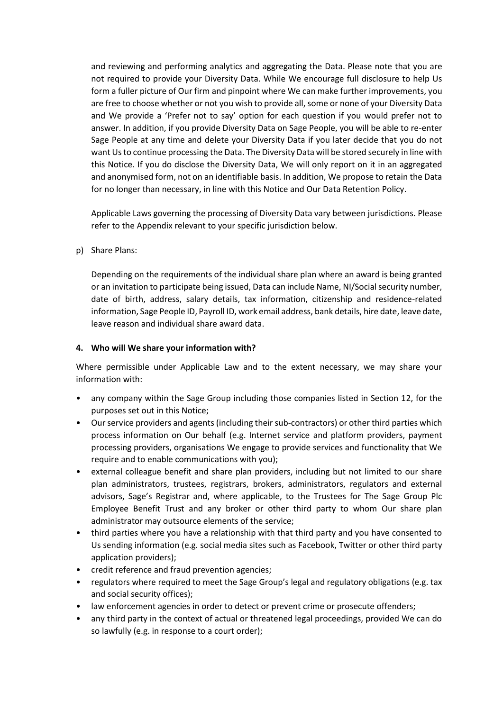and reviewing and performing analytics and aggregating the Data. Please note that you are not required to provide your Diversity Data. While We encourage full disclosure to help Us form a fuller picture of Our firm and pinpoint where We can make further improvements, you are free to choose whether or not you wish to provide all, some or none of your Diversity Data and We provide a 'Prefer not to say' option for each question if you would prefer not to answer. In addition, if you provide Diversity Data on Sage People, you will be able to re-enter Sage People at any time and delete your Diversity Data if you later decide that you do not want Us to continue processing the Data. The Diversity Data will be stored securely in line with this Notice. If you do disclose the Diversity Data, We will only report on it in an aggregated and anonymised form, not on an identifiable basis. In addition, We propose to retain the Data for no longer than necessary, in line with this Notice and Our Data Retention Policy.

Applicable Laws governing the processing of Diversity Data vary between jurisdictions. Please refer to the Appendix relevant to your specific jurisdiction below.

p) Share Plans:

Depending on the requirements of the individual share plan where an award is being granted or an invitation to participate being issued, Data can include Name, NI/Social security number, date of birth, address, salary details, tax information, citizenship and residence-related information, Sage People ID, Payroll ID, work email address, bank details, hire date, leave date, leave reason and individual share award data.

## **4. Who will We share your information with?**

Where permissible under Applicable Law and to the extent necessary, we may share your information with:

- any company within the Sage Group including those companies listed in Section 12, for the purposes set out in this Notice;
- Our service providers and agents (including their sub-contractors) or other third parties which process information on Our behalf (e.g. Internet service and platform providers, payment processing providers, organisations We engage to provide services and functionality that We require and to enable communications with you);
- external colleague benefit and share plan providers, including but not limited to our share plan administrators, trustees, registrars, brokers, administrators, regulators and external advisors, Sage's Registrar and, where applicable, to the Trustees for The Sage Group Plc Employee Benefit Trust and any broker or other third party to whom Our share plan administrator may outsource elements of the service;
- third parties where you have a relationship with that third party and you have consented to Us sending information (e.g. social media sites such as Facebook, Twitter or other third party application providers);
- credit reference and fraud prevention agencies;
- regulators where required to meet the Sage Group's legal and regulatory obligations (e.g. tax and social security offices);
- law enforcement agencies in order to detect or prevent crime or prosecute offenders;
- any third party in the context of actual or threatened legal proceedings, provided We can do so lawfully (e.g. in response to a court order);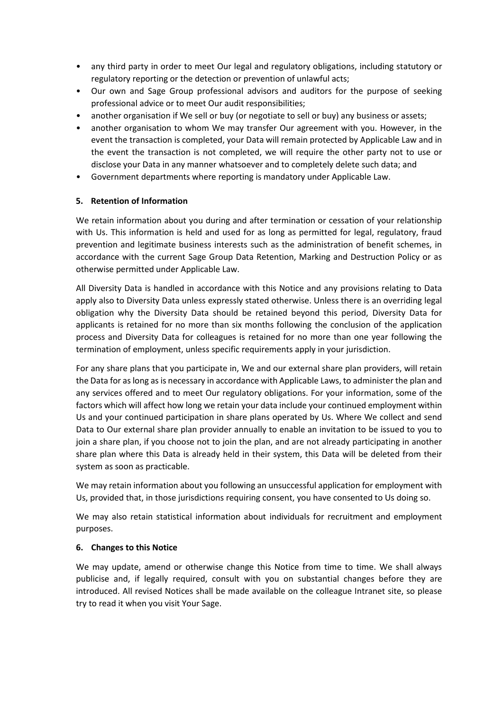- any third party in order to meet Our legal and regulatory obligations, including statutory or regulatory reporting or the detection or prevention of unlawful acts;
- Our own and Sage Group professional advisors and auditors for the purpose of seeking professional advice or to meet Our audit responsibilities;
- another organisation if We sell or buy (or negotiate to sell or buy) any business or assets;
- another organisation to whom We may transfer Our agreement with you. However, in the event the transaction is completed, your Data will remain protected by Applicable Law and in the event the transaction is not completed, we will require the other party not to use or disclose your Data in any manner whatsoever and to completely delete such data; and
- Government departments where reporting is mandatory under Applicable Law.

## **5. Retention of Information**

We retain information about you during and after termination or cessation of your relationship with Us. This information is held and used for as long as permitted for legal, regulatory, fraud prevention and legitimate business interests such as the administration of benefit schemes, in accordance with the current Sage Group Data Retention, Marking and Destruction Policy or as otherwise permitted under Applicable Law.

All Diversity Data is handled in accordance with this Notice and any provisions relating to Data apply also to Diversity Data unless expressly stated otherwise. Unless there is an overriding legal obligation why the Diversity Data should be retained beyond this period, Diversity Data for applicants is retained for no more than six months following the conclusion of the application process and Diversity Data for colleagues is retained for no more than one year following the termination of employment, unless specific requirements apply in your jurisdiction.

For any share plans that you participate in, We and our external share plan providers, will retain the Data for as long as is necessary in accordance with Applicable Laws, to administer the plan and any services offered and to meet Our regulatory obligations. For your information, some of the factors which will affect how long we retain your data include your continued employment within Us and your continued participation in share plans operated by Us. Where We collect and send Data to Our external share plan provider annually to enable an invitation to be issued to you to join a share plan, if you choose not to join the plan, and are not already participating in another share plan where this Data is already held in their system, this Data will be deleted from their system as soon as practicable.

We may retain information about you following an unsuccessful application for employment with Us, provided that, in those jurisdictions requiring consent, you have consented to Us doing so.

We may also retain statistical information about individuals for recruitment and employment purposes.

### **6. Changes to this Notice**

We may update, amend or otherwise change this Notice from time to time. We shall always publicise and, if legally required, consult with you on substantial changes before they are introduced. All revised Notices shall be made available on the colleague Intranet site, so please try to read it when you visit Your Sage.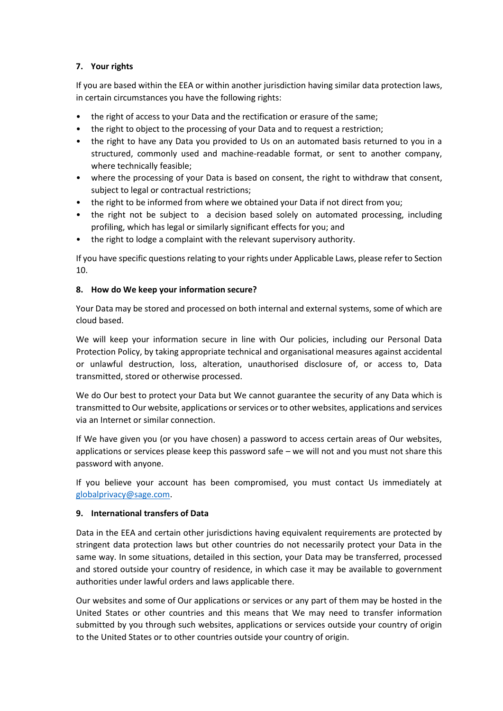## **7. Your rights**

If you are based within the EEA or within another jurisdiction having similar data protection laws, in certain circumstances you have the following rights:

- the right of access to your Data and the rectification or erasure of the same;
- the right to object to the processing of your Data and to request a restriction;
- the right to have any Data you provided to Us on an automated basis returned to you in a structured, commonly used and machine-readable format, or sent to another company, where technically feasible;
- where the processing of your Data is based on consent, the right to withdraw that consent, subject to legal or contractual restrictions;
- the right to be informed from where we obtained your Data if not direct from you;
- the right not be subject to a decision based solely on automated processing, including profiling, which has legal or similarly significant effects for you; and
- the right to lodge a complaint with the relevant supervisory authority.

If you have specific questions relating to your rights under Applicable Laws, please refer to Section 10.

## **8. How do We keep your information secure?**

Your Data may be stored and processed on both internal and external systems, some of which are cloud based.

We will keep your information secure in line with Our policies, including our Personal Data Protection Policy, by taking appropriate technical and organisational measures against accidental or unlawful destruction, loss, alteration, unauthorised disclosure of, or access to, Data transmitted, stored or otherwise processed.

We do Our best to protect your Data but We cannot guarantee the security of any Data which is transmitted to Our website, applications or services or to other websites, applications and services via an Internet or similar connection.

If We have given you (or you have chosen) a password to access certain areas of Our websites, applications or services please keep this password safe – we will not and you must not share this password with anyone.

If you believe your account has been compromised, you must contact Us immediately at [globalprivacy@sage.com.](mailto:globalprivacy@sage.com)

## **9. International transfers of Data**

Data in the EEA and certain other jurisdictions having equivalent requirements are protected by stringent data protection laws but other countries do not necessarily protect your Data in the same way. In some situations, detailed in this section, your Data may be transferred, processed and stored outside your country of residence, in which case it may be available to government authorities under lawful orders and laws applicable there.

Our websites and some of Our applications or services or any part of them may be hosted in the United States or other countries and this means that We may need to transfer information submitted by you through such websites, applications or services outside your country of origin to the United States or to other countries outside your country of origin.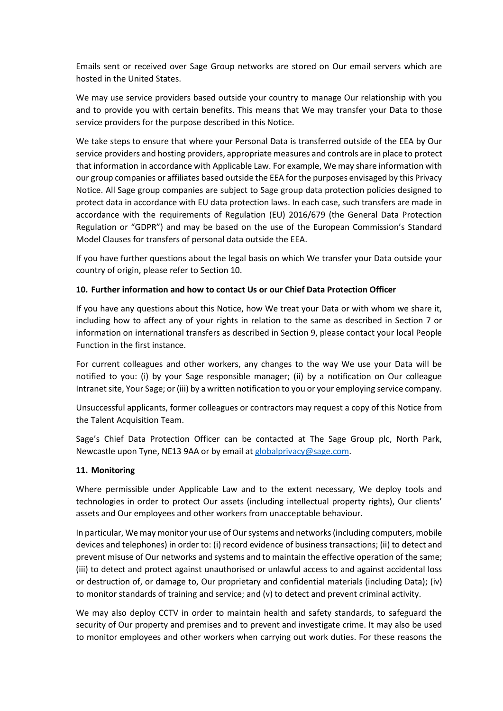Emails sent or received over Sage Group networks are stored on Our email servers which are hosted in the United States.

We may use service providers based outside your country to manage Our relationship with you and to provide you with certain benefits. This means that We may transfer your Data to those service providers for the purpose described in this Notice.

We take steps to ensure that where your Personal Data is transferred outside of the EEA by Our service providers and hosting providers, appropriate measures and controls are in place to protect that information in accordance with Applicable Law. For example, We may share information with our group companies or affiliates based outside the EEA for the purposes envisaged by this Privacy Notice. All Sage group companies are subject to Sage group data protection policies designed to protect data in accordance with EU data protection laws. In each case, such transfers are made in accordance with the requirements of Regulation (EU) 2016/679 (the General Data Protection Regulation or "GDPR") and may be based on the use of the European Commission's Standard Model Clauses for transfers of personal data outside the EEA.

If you have further questions about the legal basis on which We transfer your Data outside your country of origin, please refer to Section 10.

## **10. Further information and how to contact Us or our Chief Data Protection Officer**

If you have any questions about this Notice, how We treat your Data or with whom we share it, including how to affect any of your rights in relation to the same as described in Section 7 or information on international transfers as described in Section 9, please contact your local People Function in the first instance.

For current colleagues and other workers, any changes to the way We use your Data will be notified to you: (i) by your Sage responsible manager; (ii) by a notification on Our colleague Intranet site, Your Sage; or (iii) by a written notification to you or your employing service company.

Unsuccessful applicants, former colleagues or contractors may request a copy of this Notice from the Talent Acquisition Team.

Sage's Chief Data Protection Officer can be contacted at The Sage Group plc, North Park, Newcastle upon Tyne, NE13 9AA or by email at [globalprivacy@sage.com.](mailto:globalprivacy@sage.com)

### **11. Monitoring**

Where permissible under Applicable Law and to the extent necessary, We deploy tools and technologies in order to protect Our assets (including intellectual property rights), Our clients' assets and Our employees and other workers from unacceptable behaviour.

In particular, We may monitor your use of Our systems and networks (including computers, mobile devices and telephones) in order to: (i) record evidence of business transactions; (ii) to detect and prevent misuse of Our networks and systems and to maintain the effective operation of the same; (iii) to detect and protect against unauthorised or unlawful access to and against accidental loss or destruction of, or damage to, Our proprietary and confidential materials (including Data); (iv) to monitor standards of training and service; and (v) to detect and prevent criminal activity.

We may also deploy CCTV in order to maintain health and safety standards, to safeguard the security of Our property and premises and to prevent and investigate crime. It may also be used to monitor employees and other workers when carrying out work duties. For these reasons the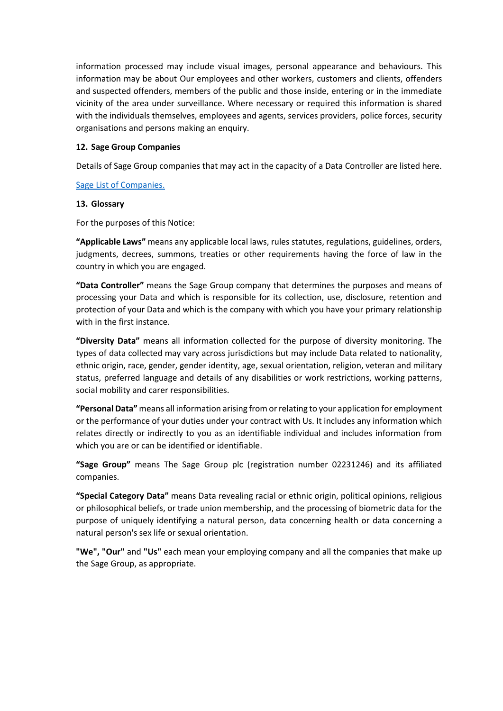information processed may include visual images, personal appearance and behaviours. This information may be about Our employees and other workers, customers and clients, offenders and suspected offenders, members of the public and those inside, entering or in the immediate vicinity of the area under surveillance. Where necessary or required this information is shared with the individuals themselves, employees and agents, services providers, police forces, security organisations and persons making an enquiry.

### **12. Sage Group Companies**

Details of Sage Group companies that may act in the capacity of a Data Controller are listed here.

### [Sage List of Companies.](https://sage365.sharepoint.com/sites/yoursage/knowledgebase/Colleagues/ColleagueDocs/Global%20Privacy%20Notice%20-%20List%20of%20Sage%20Companies.pdf)

## **13. Glossary**

For the purposes of this Notice:

**"Applicable Laws"** means any applicable local laws, rules statutes, regulations, guidelines, orders, judgments, decrees, summons, treaties or other requirements having the force of law in the country in which you are engaged.

**"Data Controller"** means the Sage Group company that determines the purposes and means of processing your Data and which is responsible for its collection, use, disclosure, retention and protection of your Data and which is the company with which you have your primary relationship with in the first instance.

**"Diversity Data"** means all information collected for the purpose of diversity monitoring. The types of data collected may vary across jurisdictions but may include Data related to nationality, ethnic origin, race, gender, gender identity, age, sexual orientation, religion, veteran and military status, preferred language and details of any disabilities or work restrictions, working patterns, social mobility and carer responsibilities.

**"Personal Data"** means all information arising from or relating to your application for employment or the performance of your duties under your contract with Us. It includes any information which relates directly or indirectly to you as an identifiable individual and includes information from which you are or can be identified or identifiable.

**"Sage Group"** means The Sage Group plc (registration number 02231246) and its affiliated companies.

**"Special Category Data"** means Data revealing racial or ethnic origin, political opinions, religious or philosophical beliefs, or trade union membership, and the processing of biometric data for the purpose of uniquely identifying a natural person, data concerning health or data concerning a natural person's sex life or sexual orientation.

**"We", "Our"** and **"Us"** each mean your employing company and all the companies that make up the Sage Group, as appropriate.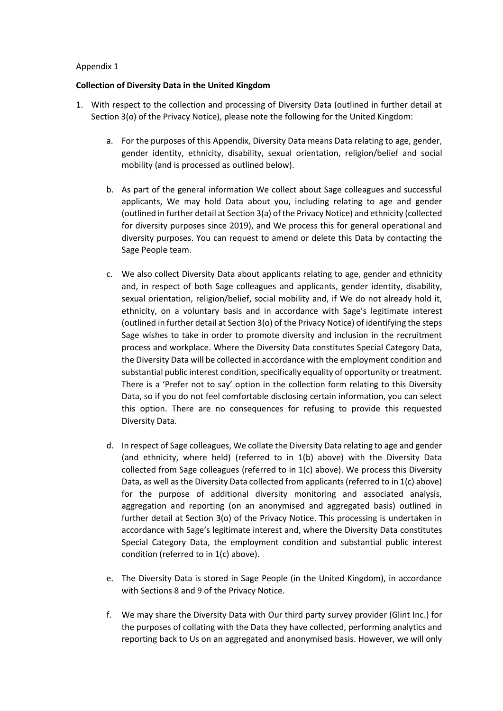### **Collection of Diversity Data in the United Kingdom**

- 1. With respect to the collection and processing of Diversity Data (outlined in further detail at Section 3(o) of the Privacy Notice), please note the following for the United Kingdom:
	- a. For the purposes of this Appendix, Diversity Data means Data relating to age, gender, gender identity, ethnicity, disability, sexual orientation, religion/belief and social mobility (and is processed as outlined below).
	- b. As part of the general information We collect about Sage colleagues and successful applicants, We may hold Data about you, including relating to age and gender (outlined in further detail at Section 3(a) of the Privacy Notice) and ethnicity (collected for diversity purposes since 2019), and We process this for general operational and diversity purposes. You can request to amend or delete this Data by contacting the Sage People team.
	- c. We also collect Diversity Data about applicants relating to age, gender and ethnicity and, in respect of both Sage colleagues and applicants, gender identity, disability, sexual orientation, religion/belief, social mobility and, if We do not already hold it, ethnicity, on a voluntary basis and in accordance with Sage's legitimate interest (outlined in further detail at Section 3(o) of the Privacy Notice) of identifying the steps Sage wishes to take in order to promote diversity and inclusion in the recruitment process and workplace. Where the Diversity Data constitutes Special Category Data, the Diversity Data will be collected in accordance with the employment condition and substantial public interest condition, specifically equality of opportunity or treatment. There is a 'Prefer not to say' option in the collection form relating to this Diversity Data, so if you do not feel comfortable disclosing certain information, you can select this option. There are no consequences for refusing to provide this requested Diversity Data.
	- d. In respect of Sage colleagues, We collate the Diversity Data relating to age and gender (and ethnicity, where held) (referred to in 1(b) above) with the Diversity Data collected from Sage colleagues (referred to in 1(c) above). We process this Diversity Data, as well as the Diversity Data collected from applicants (referred to in 1(c) above) for the purpose of additional diversity monitoring and associated analysis, aggregation and reporting (on an anonymised and aggregated basis) outlined in further detail at Section 3(o) of the Privacy Notice. This processing is undertaken in accordance with Sage's legitimate interest and, where the Diversity Data constitutes Special Category Data, the employment condition and substantial public interest condition (referred to in 1(c) above).
	- e. The Diversity Data is stored in Sage People (in the United Kingdom), in accordance with Sections 8 and 9 of the Privacy Notice.
	- f. We may share the Diversity Data with Our third party survey provider (Glint Inc.) for the purposes of collating with the Data they have collected, performing analytics and reporting back to Us on an aggregated and anonymised basis. However, we will only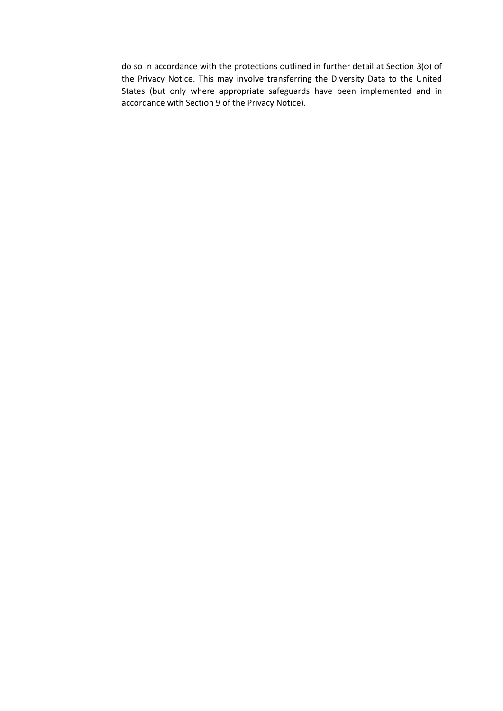do so in accordance with the protections outlined in further detail at Section 3(o) of the Privacy Notice. This may involve transferring the Diversity Data to the United States (but only where appropriate safeguards have been implemented and in accordance with Section 9 of the Privacy Notice).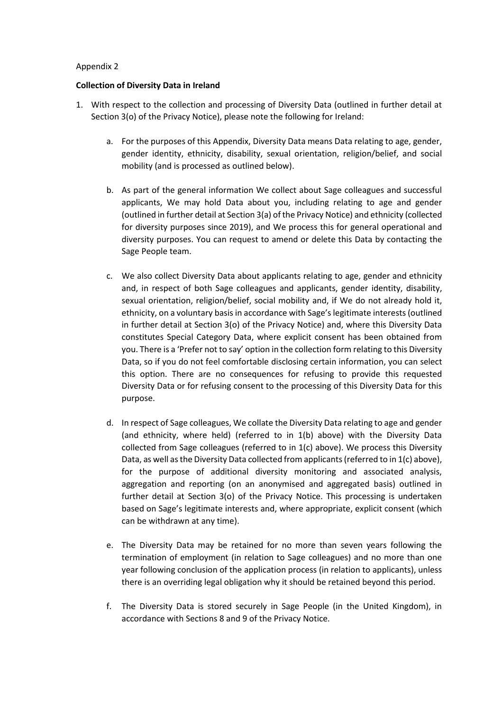## **Collection of Diversity Data in Ireland**

- 1. With respect to the collection and processing of Diversity Data (outlined in further detail at Section 3(o) of the Privacy Notice), please note the following for Ireland:
	- a. For the purposes of this Appendix, Diversity Data means Data relating to age, gender, gender identity, ethnicity, disability, sexual orientation, religion/belief, and social mobility (and is processed as outlined below).
	- b. As part of the general information We collect about Sage colleagues and successful applicants, We may hold Data about you, including relating to age and gender (outlined in further detail at Section 3(a) of the Privacy Notice) and ethnicity (collected for diversity purposes since 2019), and We process this for general operational and diversity purposes. You can request to amend or delete this Data by contacting the Sage People team.
	- c. We also collect Diversity Data about applicants relating to age, gender and ethnicity and, in respect of both Sage colleagues and applicants, gender identity, disability, sexual orientation, religion/belief, social mobility and, if We do not already hold it, ethnicity, on a voluntary basisin accordance with Sage's legitimate interests (outlined in further detail at Section 3(o) of the Privacy Notice) and, where this Diversity Data constitutes Special Category Data, where explicit consent has been obtained from you. There is a 'Prefer not to say' option in the collection form relating to this Diversity Data, so if you do not feel comfortable disclosing certain information, you can select this option. There are no consequences for refusing to provide this requested Diversity Data or for refusing consent to the processing of this Diversity Data for this purpose.
	- d. In respect of Sage colleagues, We collate the Diversity Data relating to age and gender (and ethnicity, where held) (referred to in 1(b) above) with the Diversity Data collected from Sage colleagues (referred to in 1(c) above). We process this Diversity Data, as well as the Diversity Data collected from applicants (referred to in 1(c) above), for the purpose of additional diversity monitoring and associated analysis, aggregation and reporting (on an anonymised and aggregated basis) outlined in further detail at Section 3(o) of the Privacy Notice. This processing is undertaken based on Sage's legitimate interests and, where appropriate, explicit consent (which can be withdrawn at any time).
	- e. The Diversity Data may be retained for no more than seven years following the termination of employment (in relation to Sage colleagues) and no more than one year following conclusion of the application process (in relation to applicants), unless there is an overriding legal obligation why it should be retained beyond this period.
	- f. The Diversity Data is stored securely in Sage People (in the United Kingdom), in accordance with Sections 8 and 9 of the Privacy Notice.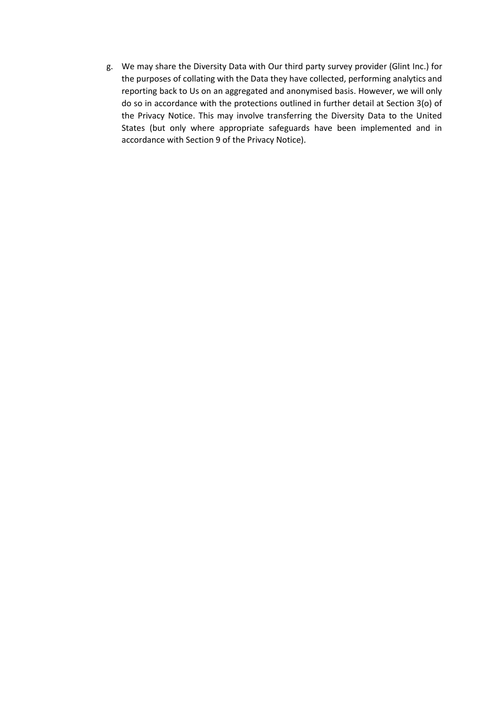g. We may share the Diversity Data with Our third party survey provider (Glint Inc.) for the purposes of collating with the Data they have collected, performing analytics and reporting back to Us on an aggregated and anonymised basis. However, we will only do so in accordance with the protections outlined in further detail at Section 3(o) of the Privacy Notice. This may involve transferring the Diversity Data to the United States (but only where appropriate safeguards have been implemented and in accordance with Section 9 of the Privacy Notice).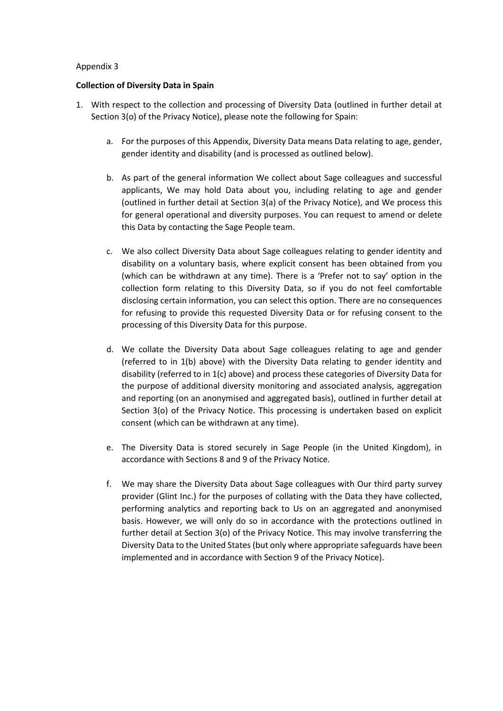#### **Collection of Diversity Data in Spain**

- 1. With respect to the collection and processing of Diversity Data (outlined in further detail at Section 3(o) of the Privacy Notice), please note the following for Spain:
	- a. For the purposes of this Appendix, Diversity Data means Data relating to age, gender, gender identity and disability (and is processed as outlined below).
	- b. As part of the general information We collect about Sage colleagues and successful applicants, We may hold Data about you, including relating to age and gender (outlined in further detail at Section 3(a) of the Privacy Notice), and We process this for general operational and diversity purposes. You can request to amend or delete this Data by contacting the Sage People team.
	- c. We also collect Diversity Data about Sage colleagues relating to gender identity and disability on a voluntary basis, where explicit consent has been obtained from you (which can be withdrawn at any time). There is a 'Prefer not to say' option in the collection form relating to this Diversity Data, so if you do not feel comfortable disclosing certain information, you can select this option. There are no consequences for refusing to provide this requested Diversity Data or for refusing consent to the processing of this Diversity Data for this purpose.
	- d. We collate the Diversity Data about Sage colleagues relating to age and gender (referred to in 1(b) above) with the Diversity Data relating to gender identity and disability (referred to in 1(c) above) and process these categories of Diversity Data for the purpose of additional diversity monitoring and associated analysis, aggregation and reporting (on an anonymised and aggregated basis), outlined in further detail at Section 3(o) of the Privacy Notice. This processing is undertaken based on explicit consent (which can be withdrawn at any time).
	- e. The Diversity Data is stored securely in Sage People (in the United Kingdom), in accordance with Sections 8 and 9 of the Privacy Notice.
	- f. We may share the Diversity Data about Sage colleagues with Our third party survey provider (Glint Inc.) for the purposes of collating with the Data they have collected, performing analytics and reporting back to Us on an aggregated and anonymised basis. However, we will only do so in accordance with the protections outlined in further detail at Section 3(o) of the Privacy Notice. This may involve transferring the Diversity Data to the United States (but only where appropriate safeguards have been implemented and in accordance with Section 9 of the Privacy Notice).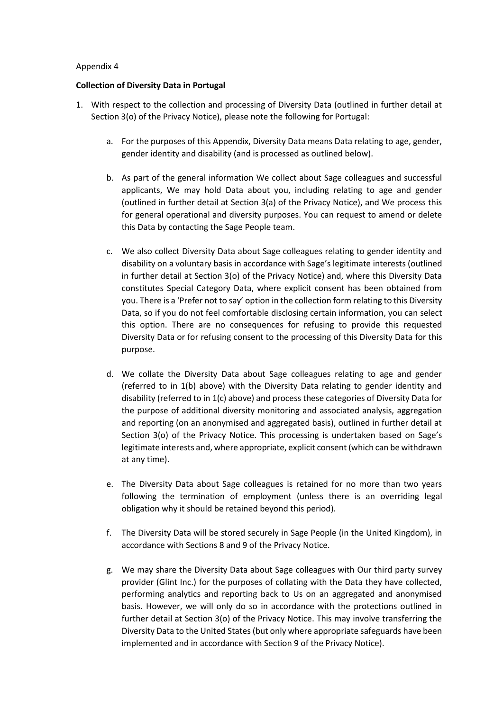### **Collection of Diversity Data in Portugal**

- 1. With respect to the collection and processing of Diversity Data (outlined in further detail at Section 3(o) of the Privacy Notice), please note the following for Portugal:
	- a. For the purposes of this Appendix, Diversity Data means Data relating to age, gender, gender identity and disability (and is processed as outlined below).
	- b. As part of the general information We collect about Sage colleagues and successful applicants, We may hold Data about you, including relating to age and gender (outlined in further detail at Section 3(a) of the Privacy Notice), and We process this for general operational and diversity purposes. You can request to amend or delete this Data by contacting the Sage People team.
	- c. We also collect Diversity Data about Sage colleagues relating to gender identity and disability on a voluntary basis in accordance with Sage's legitimate interests (outlined in further detail at Section 3(o) of the Privacy Notice) and, where this Diversity Data constitutes Special Category Data, where explicit consent has been obtained from you. There is a 'Prefer not to say' option in the collection form relating to this Diversity Data, so if you do not feel comfortable disclosing certain information, you can select this option. There are no consequences for refusing to provide this requested Diversity Data or for refusing consent to the processing of this Diversity Data for this purpose.
	- d. We collate the Diversity Data about Sage colleagues relating to age and gender (referred to in 1(b) above) with the Diversity Data relating to gender identity and disability (referred to in 1(c) above) and process these categories of Diversity Data for the purpose of additional diversity monitoring and associated analysis, aggregation and reporting (on an anonymised and aggregated basis), outlined in further detail at Section 3(o) of the Privacy Notice. This processing is undertaken based on Sage's legitimate interests and, where appropriate, explicit consent (which can be withdrawn at any time).
	- e. The Diversity Data about Sage colleagues is retained for no more than two years following the termination of employment (unless there is an overriding legal obligation why it should be retained beyond this period).
	- f. The Diversity Data will be stored securely in Sage People (in the United Kingdom), in accordance with Sections 8 and 9 of the Privacy Notice.
	- g. We may share the Diversity Data about Sage colleagues with Our third party survey provider (Glint Inc.) for the purposes of collating with the Data they have collected, performing analytics and reporting back to Us on an aggregated and anonymised basis. However, we will only do so in accordance with the protections outlined in further detail at Section 3(o) of the Privacy Notice. This may involve transferring the Diversity Data to the United States (but only where appropriate safeguards have been implemented and in accordance with Section 9 of the Privacy Notice).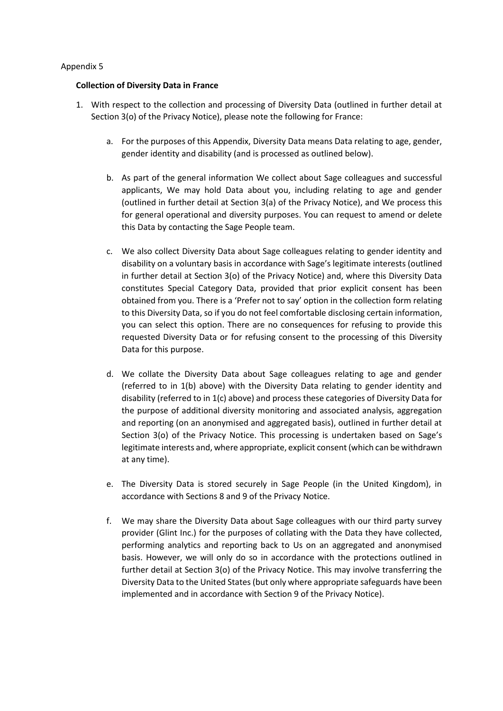## **Collection of Diversity Data in France**

- 1. With respect to the collection and processing of Diversity Data (outlined in further detail at Section 3(o) of the Privacy Notice), please note the following for France:
	- a. For the purposes of this Appendix, Diversity Data means Data relating to age, gender, gender identity and disability (and is processed as outlined below).
	- b. As part of the general information We collect about Sage colleagues and successful applicants, We may hold Data about you, including relating to age and gender (outlined in further detail at Section 3(a) of the Privacy Notice), and We process this for general operational and diversity purposes. You can request to amend or delete this Data by contacting the Sage People team.
	- c. We also collect Diversity Data about Sage colleagues relating to gender identity and disability on a voluntary basis in accordance with Sage's legitimate interests (outlined in further detail at Section 3(o) of the Privacy Notice) and, where this Diversity Data constitutes Special Category Data, provided that prior explicit consent has been obtained from you. There is a 'Prefer not to say' option in the collection form relating to this Diversity Data, so if you do not feel comfortable disclosing certain information, you can select this option. There are no consequences for refusing to provide this requested Diversity Data or for refusing consent to the processing of this Diversity Data for this purpose.
	- d. We collate the Diversity Data about Sage colleagues relating to age and gender (referred to in 1(b) above) with the Diversity Data relating to gender identity and disability (referred to in 1(c) above) and process these categories of Diversity Data for the purpose of additional diversity monitoring and associated analysis, aggregation and reporting (on an anonymised and aggregated basis), outlined in further detail at Section 3(o) of the Privacy Notice. This processing is undertaken based on Sage's legitimate interests and, where appropriate, explicit consent (which can be withdrawn at any time).
	- e. The Diversity Data is stored securely in Sage People (in the United Kingdom), in accordance with Sections 8 and 9 of the Privacy Notice.
	- f. We may share the Diversity Data about Sage colleagues with our third party survey provider (Glint Inc.) for the purposes of collating with the Data they have collected, performing analytics and reporting back to Us on an aggregated and anonymised basis. However, we will only do so in accordance with the protections outlined in further detail at Section 3(o) of the Privacy Notice. This may involve transferring the Diversity Data to the United States (but only where appropriate safeguards have been implemented and in accordance with Section 9 of the Privacy Notice).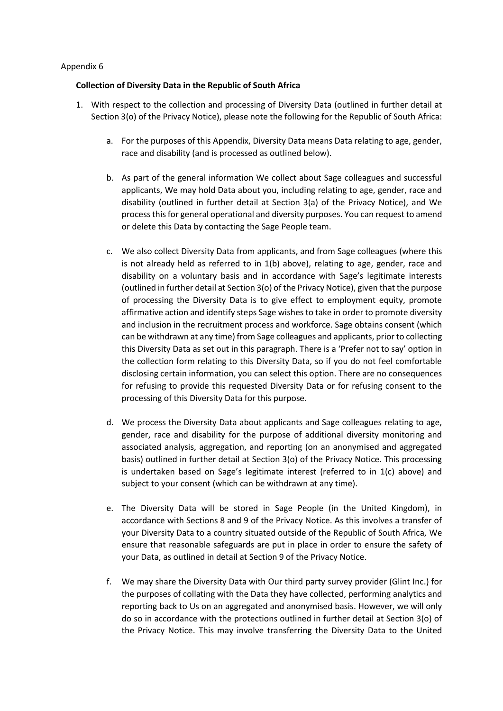## **Collection of Diversity Data in the Republic of South Africa**

- 1. With respect to the collection and processing of Diversity Data (outlined in further detail at Section 3(o) of the Privacy Notice), please note the following for the Republic of South Africa:
	- a. For the purposes of this Appendix, Diversity Data means Data relating to age, gender, race and disability (and is processed as outlined below).
	- b. As part of the general information We collect about Sage colleagues and successful applicants, We may hold Data about you, including relating to age, gender, race and disability (outlined in further detail at Section 3(a) of the Privacy Notice), and We process this for general operational and diversity purposes. You can request to amend or delete this Data by contacting the Sage People team.
	- c. We also collect Diversity Data from applicants, and from Sage colleagues (where this is not already held as referred to in  $1(b)$  above), relating to age, gender, race and disability on a voluntary basis and in accordance with Sage's legitimate interests (outlined in further detail at Section 3(o) of the Privacy Notice), given that the purpose of processing the Diversity Data is to give effect to employment equity, promote affirmative action and identify steps Sage wishes to take in order to promote diversity and inclusion in the recruitment process and workforce. Sage obtains consent (which can be withdrawn at any time) from Sage colleagues and applicants, prior to collecting this Diversity Data as set out in this paragraph. There is a 'Prefer not to say' option in the collection form relating to this Diversity Data, so if you do not feel comfortable disclosing certain information, you can select this option. There are no consequences for refusing to provide this requested Diversity Data or for refusing consent to the processing of this Diversity Data for this purpose.
	- d. We process the Diversity Data about applicants and Sage colleagues relating to age, gender, race and disability for the purpose of additional diversity monitoring and associated analysis, aggregation, and reporting (on an anonymised and aggregated basis) outlined in further detail at Section 3(o) of the Privacy Notice. This processing is undertaken based on Sage's legitimate interest (referred to in 1(c) above) and subject to your consent (which can be withdrawn at any time).
	- e. The Diversity Data will be stored in Sage People (in the United Kingdom), in accordance with Sections 8 and 9 of the Privacy Notice. As this involves a transfer of your Diversity Data to a country situated outside of the Republic of South Africa, We ensure that reasonable safeguards are put in place in order to ensure the safety of your Data, as outlined in detail at Section 9 of the Privacy Notice.
	- f. We may share the Diversity Data with Our third party survey provider (Glint Inc.) for the purposes of collating with the Data they have collected, performing analytics and reporting back to Us on an aggregated and anonymised basis. However, we will only do so in accordance with the protections outlined in further detail at Section 3(o) of the Privacy Notice. This may involve transferring the Diversity Data to the United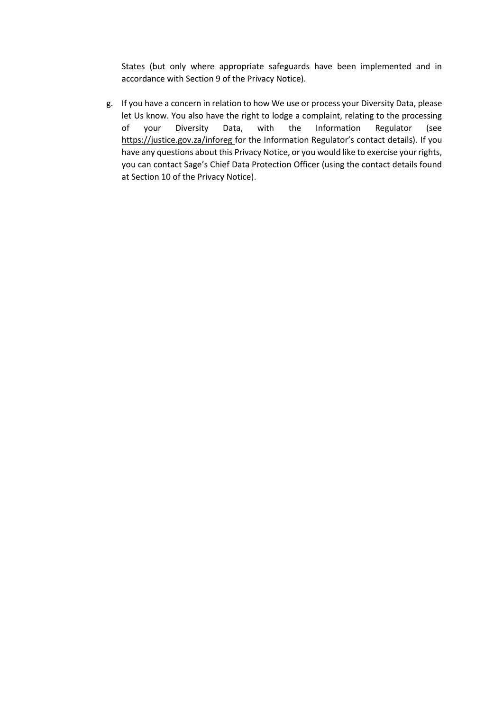States (but only where appropriate safeguards have been implemented and in accordance with Section 9 of the Privacy Notice).

g. If you have a concern in relation to how We use or process your Diversity Data, please let Us know. You also have the right to lodge a complaint, relating to the processing of your Diversity Data, with the Information Regulator (see <https://justice.gov.za/inforeg> for the Information Regulator's contact details). If you have any questions about this Privacy Notice, or you would like to exercise your rights, you can contact Sage's Chief Data Protection Officer (using the contact details found at Section 10 of the Privacy Notice).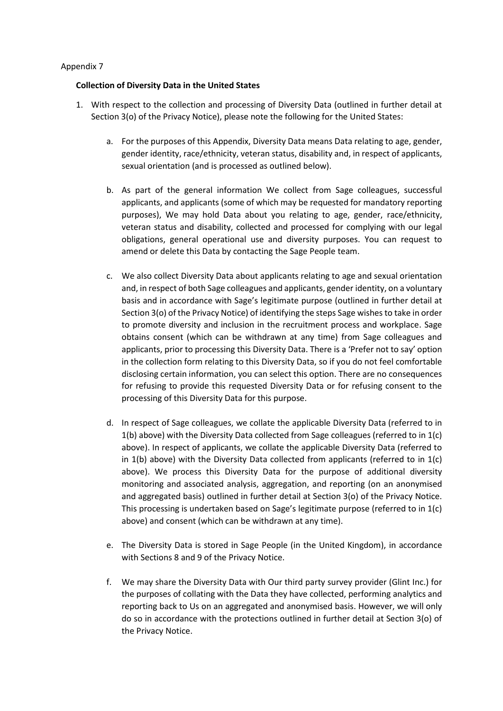## **Collection of Diversity Data in the United States**

- 1. With respect to the collection and processing of Diversity Data (outlined in further detail at Section 3(o) of the Privacy Notice), please note the following for the United States:
	- a. For the purposes of this Appendix, Diversity Data means Data relating to age, gender, gender identity, race/ethnicity, veteran status, disability and, in respect of applicants, sexual orientation (and is processed as outlined below).
	- b. As part of the general information We collect from Sage colleagues, successful applicants, and applicants (some of which may be requested for mandatory reporting purposes), We may hold Data about you relating to age, gender, race/ethnicity, veteran status and disability, collected and processed for complying with our legal obligations, general operational use and diversity purposes. You can request to amend or delete this Data by contacting the Sage People team.
	- c. We also collect Diversity Data about applicants relating to age and sexual orientation and, in respect of both Sage colleagues and applicants, gender identity, on a voluntary basis and in accordance with Sage's legitimate purpose (outlined in further detail at Section 3(o) of the Privacy Notice) of identifying the steps Sage wishes to take in order to promote diversity and inclusion in the recruitment process and workplace. Sage obtains consent (which can be withdrawn at any time) from Sage colleagues and applicants, prior to processing this Diversity Data. There is a 'Prefer not to say' option in the collection form relating to this Diversity Data, so if you do not feel comfortable disclosing certain information, you can select this option. There are no consequences for refusing to provide this requested Diversity Data or for refusing consent to the processing of this Diversity Data for this purpose.
	- d. In respect of Sage colleagues, we collate the applicable Diversity Data (referred to in 1(b) above) with the Diversity Data collected from Sage colleagues (referred to in 1(c) above). In respect of applicants, we collate the applicable Diversity Data (referred to in  $1(b)$  above) with the Diversity Data collected from applicants (referred to in  $1(c)$ above). We process this Diversity Data for the purpose of additional diversity monitoring and associated analysis, aggregation, and reporting (on an anonymised and aggregated basis) outlined in further detail at Section 3(o) of the Privacy Notice. This processing is undertaken based on Sage's legitimate purpose (referred to in 1(c) above) and consent (which can be withdrawn at any time).
	- e. The Diversity Data is stored in Sage People (in the United Kingdom), in accordance with Sections 8 and 9 of the Privacy Notice.
	- f. We may share the Diversity Data with Our third party survey provider (Glint Inc.) for the purposes of collating with the Data they have collected, performing analytics and reporting back to Us on an aggregated and anonymised basis. However, we will only do so in accordance with the protections outlined in further detail at Section 3(o) of the Privacy Notice.